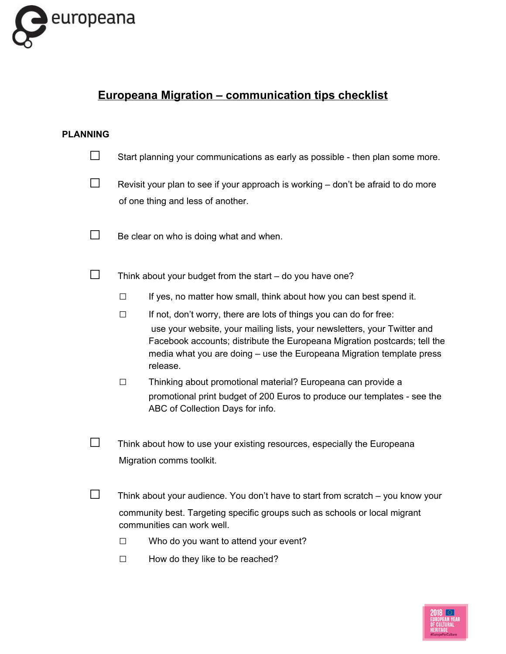

# **Europeana Migration – communication tips checklist**

## **PLANNING**

| Start planning your communications as early as possible - then plan some more. |
|--------------------------------------------------------------------------------|

 $\Box$  Revisit your plan to see if your approach is working – don't be afraid to do more of one thing and less of another.

 $\Box$  Be clear on who is doing what and when.

 $\square$  Think about your budget from the start – do you have one?

- $\square$  If yes, no matter how small, think about how you can best spend it.
- $\Box$  If not, don't worry, there are lots of things you can do for free: use your website, your mailing lists, your newsletters, your Twitter and Facebook accounts; distribute the Europeana Migration postcards; tell the media what you are doing – use the Europeana Migration template press release.
- □ Thinking about promotional material? Europeana can provide <sup>a</sup> promotional print budget of 200 Euros to produce our templates - see the ABC of Collection Days for info.
- $\square$  Think about how to use your existing resources, especially the Europeana Migration comms toolkit.
- $\square$  Think about your audience. You don't have to start from scratch you know your community best. Targeting specific groups such as schools or local migrant communities can work well.
	- $\Box$  Who do you want to attend your event?
	- $\Box$  How do they like to be reached?

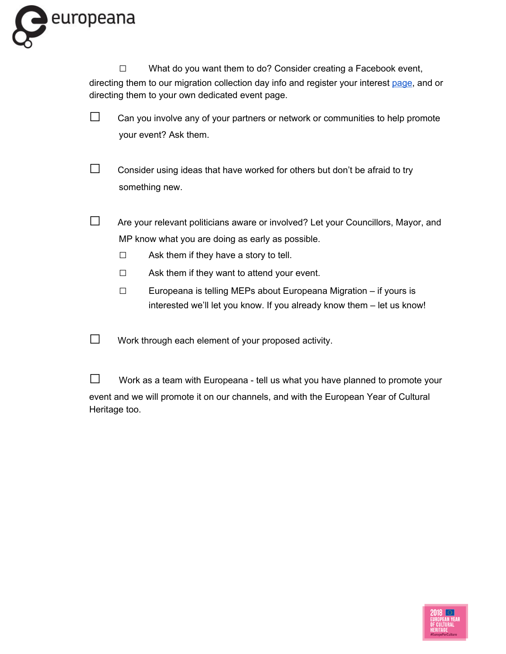

 $\square$  What do you want them to do? Consider creating a Facebook event, directing them to our migration collection day info and register your interest [page](https://www.europeana.eu/portal/en/collections/migration/collection-days.html), and or directing them to your own dedicated event page.

- $\square$  Can you involve any of your partners or network or communities to help promote your event? Ask them.
- $\square$  Consider using ideas that have worked for others but don't be afraid to try something new.
- $\square$  Are your relevant politicians aware or involved? Let your Councillors, Mayor, and MP know what you are doing as early as possible.
	- $\Box$  Ask them if they have a story to tell.
	- $\Box$  Ask them if they want to attend your event.
	- $\square$  Europeana is telling MEPs about Europeana Migration if yours is interested we'll let you know. If you already know them – let us know!
- $\square$  Work through each element of your proposed activity.
- $\square$  Work as a team with Europeana tell us what you have planned to promote your event and we will promote it on our channels, and with the European Year of Cultural Heritage too.

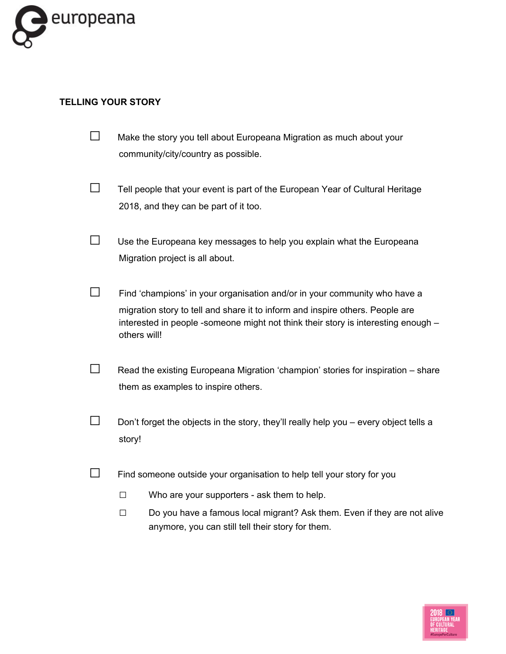

# **TELLING YOUR STORY**

- $\square$  Make the story you tell about Europeana Migration as much about your community/city/country as possible.
- $\Box$  Tell people that your event is part of the European Year of Cultural Heritage 2018, and they can be part of it too.
- $\square$  Use the Europeana key messages to help you explain what the Europeana Migration project is all about.
- $\square$  Find 'champions' in your organisation and/or in your community who have a migration story to tell and share it to inform and inspire others. People are interested in people -someone might not think their story is interesting enough – others will!
- $\Box$  Read the existing Europeana Migration 'champion' stories for inspiration share them as examples to inspire others.
- $\square$  Don't forget the objects in the story, they'll really help you every object tells a story!
- $\square$  Find someone outside your organisation to help tell your story for you
	- □ Who are your supporters ask them to help.
	- □ Do you have a famous local migrant? Ask them. Even if they are not alive anymore, you can still tell their story for them.

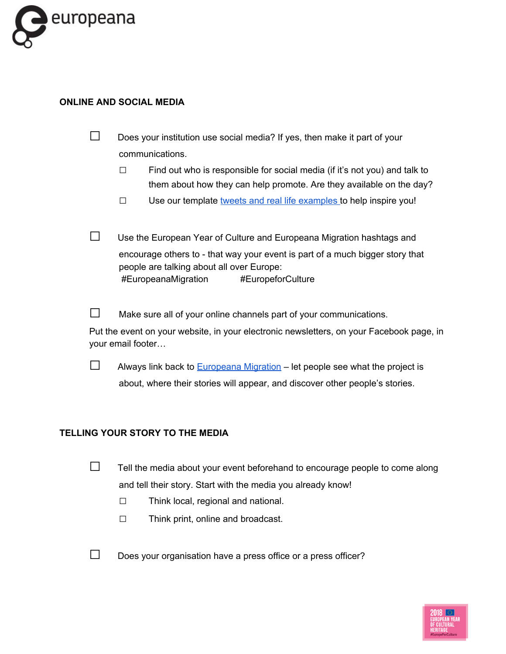

#### **ONLINE AND SOCIAL MEDIA**

| Does your institution use social media? If yes, then make it part of your |
|---------------------------------------------------------------------------|
| communications.                                                           |

- $\square$  Find out who is responsible for social media (if it's not you) and talk to them about how they can help promote. Are they available on the day?
- $\square$  Use our template tweets and real life [examples](https://docs.google.com/spreadsheets/d/1aftk17Hx9913GCgH0ZWL5KMd1vFWJYPGRzC0AAmfNAA/edit#gid=1895833500) to help inspire you!
- □ Use the European Year of Culture and Europeana Migration hashtags and encourage others to - that way your event is part of a much bigger story that people are talking about all over Europe: #EuropeanaMigration #EuropeforCulture
- $\Box$  Make sure all of your online channels part of your communications.

Put the event on your website, in your electronic newsletters, on your Facebook page, in your email footer…

 $\Box$  Always link back to **[Europeana](https://www.europeana.eu/portal/en/collections/migration) Migration** – let people see what the project is about, where their stories will appear, and discover other people's stories.

## **TELLING YOUR STORY TO THE MEDIA**

- $\Box$  Tell the media about your event beforehand to encourage people to come along and tell their story. Start with the media you already know!
	- □ Think local, regional and national.
	- □ Think print, online and broadcast.
- $\square$  Does your organisation have a press office or a press officer?